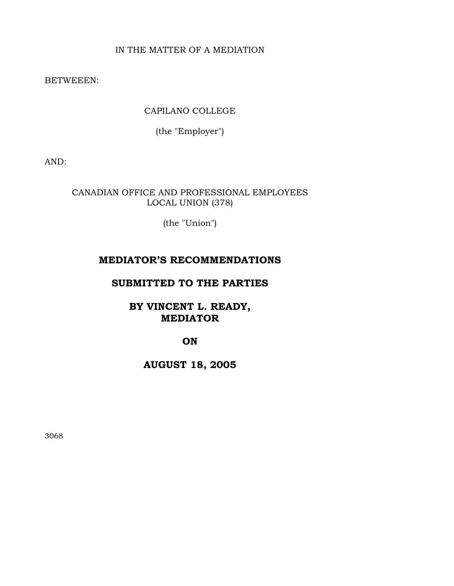# IN THE MATTER OF A MEDIATION

BETWEEEN:

CAPILANO COLLEGE

(the "Employer")

AND:

CANADIAN OFFICE AND PROFESSIONAL EMPLOYEES LOCAL UNION (378)

(the "Union")

# **MEDIATOR'S RECOMMENDATIONS**

# **SUBMITTED TO THE PARTIES**

**BY VINCENT L. READY, MEDIATOR** 

**ON** 

**AUGUST 18, 2005** 

3068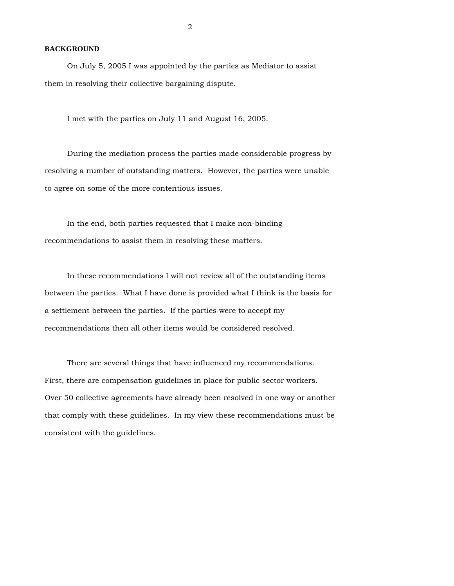### **BACKGROUND**

 On July 5, 2005 I was appointed by the parties as Mediator to assist them in resolving their collective bargaining dispute.

I met with the parties on July 11 and August 16, 2005.

 During the mediation process the parties made considerable progress by resolving a number of outstanding matters. However, the parties were unable to agree on some of the more contentious issues.

 In the end, both parties requested that I make non-binding recommendations to assist them in resolving these matters.

 In these recommendations I will not review all of the outstanding items between the parties. What I have done is provided what I think is the basis for a settlement between the parties. If the parties were to accept my recommendations then all other items would be considered resolved.

 There are several things that have influenced my recommendations. First, there are compensation guidelines in place for public sector workers. Over 50 collective agreements have already been resolved in one way or another that comply with these guidelines. In my view these recommendations must be consistent with the guidelines.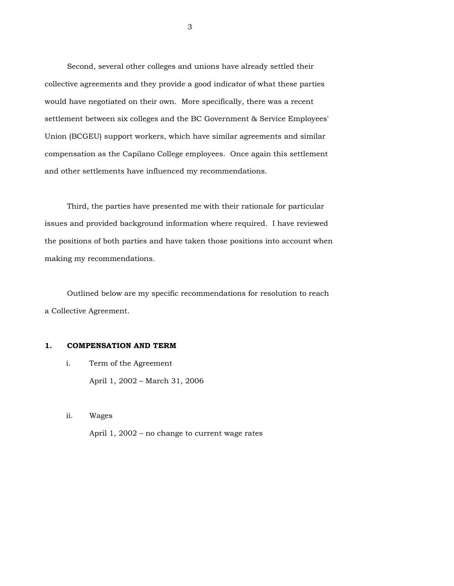Second, several other colleges and unions have already settled their collective agreements and they provide a good indicator of what these parties would have negotiated on their own. More specifically, there was a recent settlement between six colleges and the BC Government & Service Employees' Union (BCGEU) support workers, which have similar agreements and similar compensation as the Capilano College employees. Once again this settlement and other settlements have influenced my recommendations.

 Third, the parties have presented me with their rationale for particular issues and provided background information where required. I have reviewed the positions of both parties and have taken those positions into account when making my recommendations.

 Outlined below are my specific recommendations for resolution to reach a Collective Agreement.

# **1. COMPENSATION AND TERM**

i. Term of the Agreement

April 1, 2002 – March 31, 2006

ii. Wages

April 1, 2002 – no change to current wage rates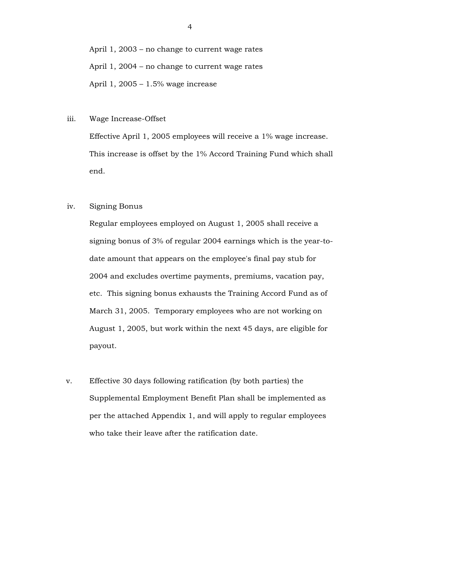April 1, 2003 – no change to current wage rates April 1, 2004 – no change to current wage rates April 1, 2005 – 1.5% wage increase

iii. Wage Increase-Offset

 Effective April 1, 2005 employees will receive a 1% wage increase. This increase is offset by the 1% Accord Training Fund which shall end.

## iv. Signing Bonus

 Regular employees employed on August 1, 2005 shall receive a signing bonus of 3% of regular 2004 earnings which is the year-todate amount that appears on the employee's final pay stub for 2004 and excludes overtime payments, premiums, vacation pay, etc. This signing bonus exhausts the Training Accord Fund as of March 31, 2005. Temporary employees who are not working on August 1, 2005, but work within the next 45 days, are eligible for payout.

 v. Effective 30 days following ratification (by both parties) the Supplemental Employment Benefit Plan shall be implemented as per the attached Appendix 1, and will apply to regular employees who take their leave after the ratification date.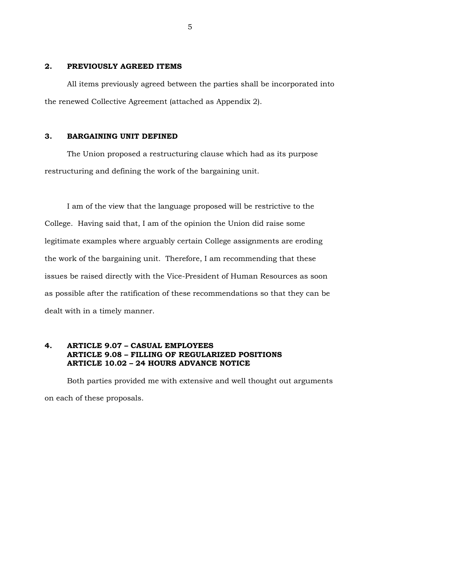## **2. PREVIOUSLY AGREED ITEMS**

 All items previously agreed between the parties shall be incorporated into the renewed Collective Agreement (attached as Appendix 2).

# **3. BARGAINING UNIT DEFINED**

 The Union proposed a restructuring clause which had as its purpose restructuring and defining the work of the bargaining unit.

 I am of the view that the language proposed will be restrictive to the College. Having said that, I am of the opinion the Union did raise some legitimate examples where arguably certain College assignments are eroding the work of the bargaining unit. Therefore, I am recommending that these issues be raised directly with the Vice-President of Human Resources as soon as possible after the ratification of these recommendations so that they can be dealt with in a timely manner.

## **4. ARTICLE 9.07 – CASUAL EMPLOYEES ARTICLE 9.08 – FILLING OF REGULARIZED POSITIONS ARTICLE 10.02 – 24 HOURS ADVANCE NOTICE**

 Both parties provided me with extensive and well thought out arguments on each of these proposals.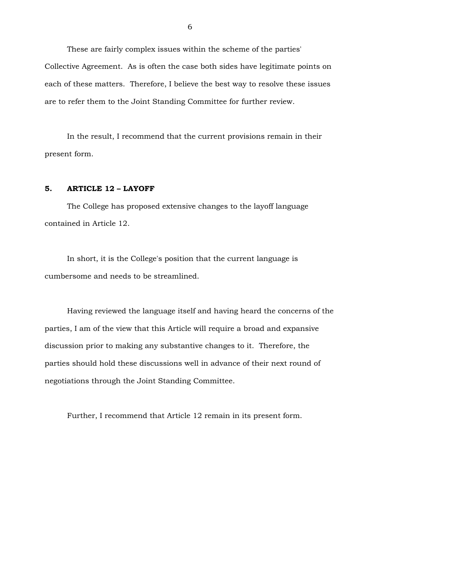These are fairly complex issues within the scheme of the parties' Collective Agreement. As is often the case both sides have legitimate points on each of these matters. Therefore, I believe the best way to resolve these issues are to refer them to the Joint Standing Committee for further review.

 In the result, I recommend that the current provisions remain in their present form.

# **5. ARTICLE 12 – LAYOFF**

 The College has proposed extensive changes to the layoff language contained in Article 12.

 In short, it is the College's position that the current language is cumbersome and needs to be streamlined.

 Having reviewed the language itself and having heard the concerns of the parties, I am of the view that this Article will require a broad and expansive discussion prior to making any substantive changes to it. Therefore, the parties should hold these discussions well in advance of their next round of negotiations through the Joint Standing Committee.

Further, I recommend that Article 12 remain in its present form.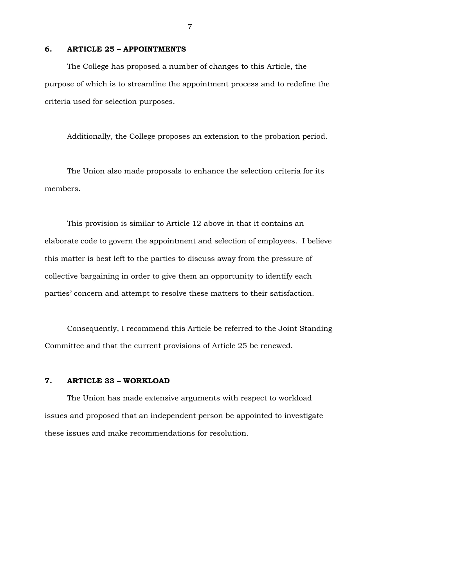### **6. ARTICLE 25 – APPOINTMENTS**

 The College has proposed a number of changes to this Article, the purpose of which is to streamline the appointment process and to redefine the criteria used for selection purposes.

Additionally, the College proposes an extension to the probation period.

 The Union also made proposals to enhance the selection criteria for its members.

 This provision is similar to Article 12 above in that it contains an elaborate code to govern the appointment and selection of employees. I believe this matter is best left to the parties to discuss away from the pressure of collective bargaining in order to give them an opportunity to identify each parties' concern and attempt to resolve these matters to their satisfaction.

 Consequently, I recommend this Article be referred to the Joint Standing Committee and that the current provisions of Article 25 be renewed.

## **7. ARTICLE 33 – WORKLOAD**

 The Union has made extensive arguments with respect to workload issues and proposed that an independent person be appointed to investigate these issues and make recommendations for resolution.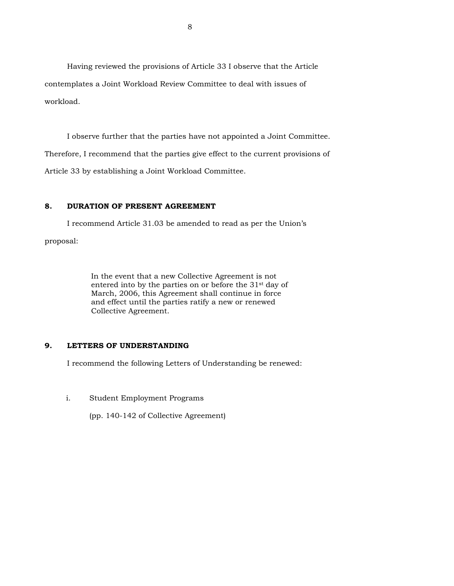Having reviewed the provisions of Article 33 I observe that the Article contemplates a Joint Workload Review Committee to deal with issues of workload.

 I observe further that the parties have not appointed a Joint Committee. Therefore, I recommend that the parties give effect to the current provisions of Article 33 by establishing a Joint Workload Committee.

# **8. DURATION OF PRESENT AGREEMENT**

 I recommend Article 31.03 be amended to read as per the Union's proposal:

> In the event that a new Collective Agreement is not entered into by the parties on or before the 31st day of March, 2006, this Agreement shall continue in force and effect until the parties ratify a new or renewed Collective Agreement.

# **9. LETTERS OF UNDERSTANDING**

I recommend the following Letters of Understanding be renewed:

# i. Student Employment Programs

(pp. 140-142 of Collective Agreement)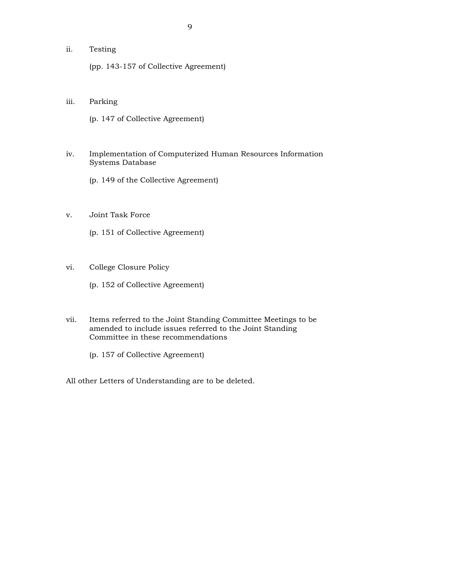# ii. Testing

(pp. 143-157 of Collective Agreement)

## iii. Parking

(p. 147 of Collective Agreement)

# iv. Implementation of Computerized Human Resources Information Systems Database

(p. 149 of the Collective Agreement)

- v. Joint Task Force
	- (p. 151 of Collective Agreement)
- vi. College Closure Policy

(p. 152 of Collective Agreement)

 vii. Items referred to the Joint Standing Committee Meetings to be amended to include issues referred to the Joint Standing Committee in these recommendations

(p. 157 of Collective Agreement)

All other Letters of Understanding are to be deleted.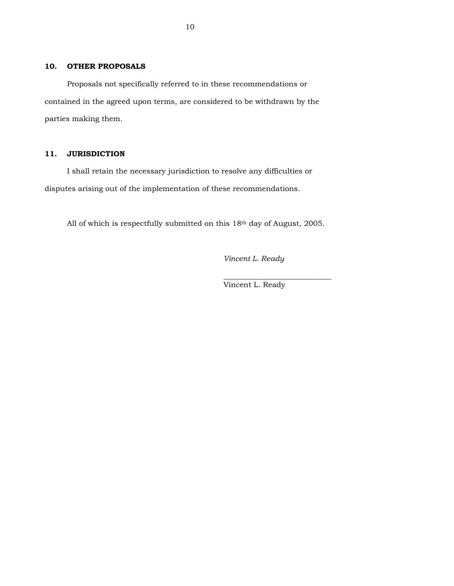# **10. OTHER PROPOSALS**

 Proposals not specifically referred to in these recommendations or contained in the agreed upon terms, are considered to be withdrawn by the parties making them.

# **11. JURISDICTION**

 I shall retain the necessary jurisdiction to resolve any difficulties or disputes arising out of the implementation of these recommendations.

All of which is respectfully submitted on this 18th day of August, 2005.

 $\frac{1}{\sqrt{2}}$  , and the set of the set of the set of the set of the set of the set of the set of the set of the set of the set of the set of the set of the set of the set of the set of the set of the set of the set of the

*Vincent L. Ready* 

Vincent L. Ready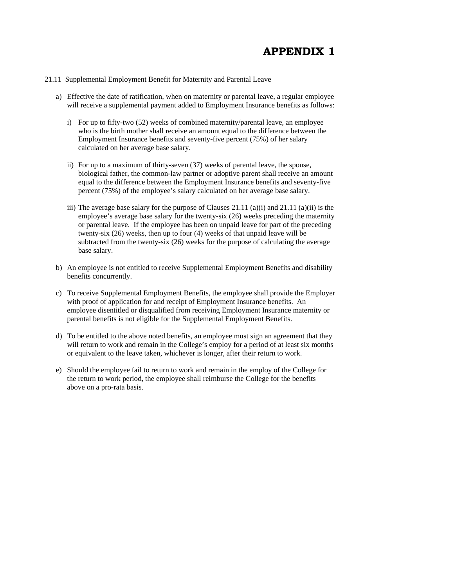# **APPENDIX 1**

#### 21.11 Supplemental Employment Benefit for Maternity and Parental Leave

- a) Effective the date of ratification, when on maternity or parental leave, a regular employee will receive a supplemental payment added to Employment Insurance benefits as follows:
	- i) For up to fifty-two (52) weeks of combined maternity/parental leave, an employee who is the birth mother shall receive an amount equal to the difference between the Employment Insurance benefits and seventy-five percent (75%) of her salary calculated on her average base salary.
	- ii) For up to a maximum of thirty-seven (37) weeks of parental leave, the spouse, biological father, the common-law partner or adoptive parent shall receive an amount equal to the difference between the Employment Insurance benefits and seventy-five percent (75%) of the employee's salary calculated on her average base salary.
	- iii) The average base salary for the purpose of Clauses 21.11 (a)(i) and 21.11 (a)(ii) is the employee's average base salary for the twenty-six (26) weeks preceding the maternity or parental leave. If the employee has been on unpaid leave for part of the preceding twenty-six (26) weeks, then up to four (4) weeks of that unpaid leave will be subtracted from the twenty-six (26) weeks for the purpose of calculating the average base salary.
- b) An employee is not entitled to receive Supplemental Employment Benefits and disability benefits concurrently.
- c) To receive Supplemental Employment Benefits, the employee shall provide the Employer with proof of application for and receipt of Employment Insurance benefits. An employee disentitled or disqualified from receiving Employment Insurance maternity or parental benefits is not eligible for the Supplemental Employment Benefits.
- d) To be entitled to the above noted benefits, an employee must sign an agreement that they will return to work and remain in the College's employ for a period of at least six months or equivalent to the leave taken, whichever is longer, after their return to work.
- e) Should the employee fail to return to work and remain in the employ of the College for the return to work period, the employee shall reimburse the College for the benefits above on a pro-rata basis.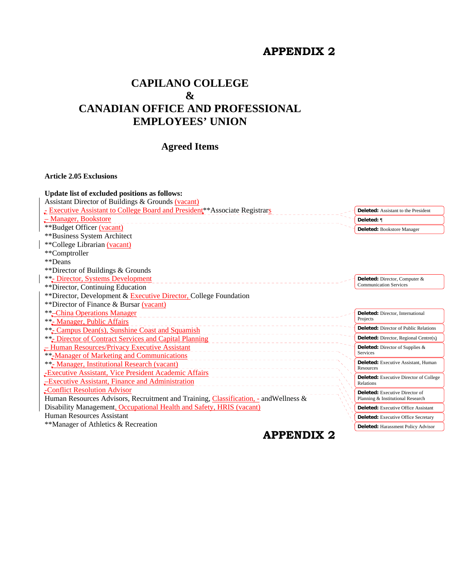# **APPENDIX 2**

# **CAPILANO COLLEGE & CANADIAN OFFICE AND PROFESSIONAL EMPLOYEES' UNION**

# **Agreed Items**

# **Article 2.05 Exclusions**

| Update list of excluded positions as follows:                                         |                                                  |
|---------------------------------------------------------------------------------------|--------------------------------------------------|
| Assistant Director of Buildings & Grounds (vacant)                                    |                                                  |
| Executive Assistant to College Board and President <sup>**</sup> Associate Registrars | <b>Deleted:</b> Assistant to the President       |
| - Manager, Bookstore                                                                  | Deleted: ¶                                       |
| **Budget Officer (vacant)                                                             | Deleted: Bookstore Manager                       |
| **Business System Architect                                                           |                                                  |
| **College Librarian (vacant)                                                          |                                                  |
| **Comptroller                                                                         |                                                  |
| **Deans                                                                               |                                                  |
| ** Director of Buildings & Grounds                                                    |                                                  |
| <b>**<sub>-</sub></b> Director, Systems Development                                   | Deleted: Director, Computer &                    |
| **Director, Continuing Education                                                      | <b>Communication Services</b>                    |
| ** Director, Development & Executive Director, College Foundation                     |                                                  |
| **Director of Finance & Bursar (vacant)                                               |                                                  |
| <b>**-China Operations Manager</b>                                                    | Deleted: Director, International                 |
| ** Manager, Public Affairs                                                            | Projects                                         |
| **- <b>Campus Dean(s), Sunshine Coast and Squamish</b>                                | <b>Deleted:</b> Director of Public Relations     |
| **- Director of Contract Services and Capital Planning                                | <b>Deleted:</b> Director, Regional Centre(s)     |
| - Human Resources/Privacy Executive Assistant                                         | Deleted: Director of Supplies &                  |
| **-Manager of Marketing and Communications                                            | Services                                         |
| ** Manager, Institutional Research (vacant)                                           | Deleted: Executive Assistant, Human<br>Resources |
| Executive Assistant, Vice President Academic Affairs                                  | Deleted: Executive Director of College           |
| -Executive Assistant, Finance and Administration                                      | Relations                                        |
| -Conflict Resolution Advisor                                                          | <b>Deleted:</b> Executive Director of            |
| Human Resources Advisors, Recruitment and Training, Classification, - and Wellness &  | Planning & Institutional Research                |
| Disability Management, Occupational Health and Safety, HRIS (vacant)                  | <b>Deleted:</b> Executive Office Assistant       |
| Human Resources Assistant                                                             | <b>Deleted:</b> Executive Office Secretary       |
| **Manager of Athletics & Recreation                                                   | Deleted: Harassment Policy Advisor               |
| <b>APPENDIX 2</b>                                                                     |                                                  |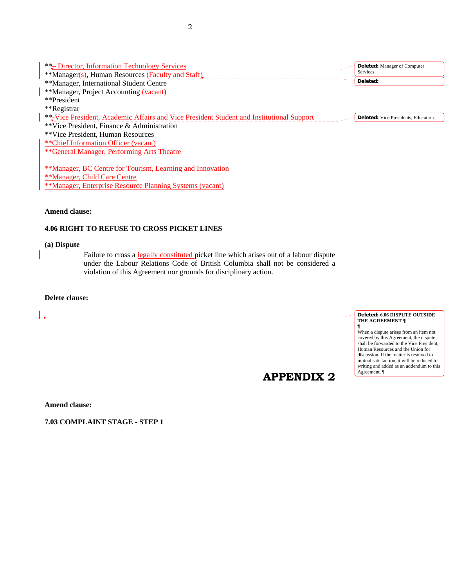| **- Director, Information Technology Services<br>**Manager(s), Human Resources (Faculty and Staff) | <b>Deleted:</b> Manager of Computer<br><b>Services</b> |
|----------------------------------------------------------------------------------------------------|--------------------------------------------------------|
| **Manager, International Student Centre                                                            | Deleted:                                               |
| **Manager, Project Accounting (vacant)<br>**President                                              |                                                        |
| **Registrar                                                                                        |                                                        |
| **-Vice President, Academic Affairs and Vice President Student and Institutional Support           | <b>Deleted:</b> Vice Presidents, Education             |
| **Vice President, Finance & Administration<br>**Vice President, Human Resources                    |                                                        |
| ** Chief Information Officer (vacant)                                                              |                                                        |
| **General Manager, Performing Arts Theatre                                                         |                                                        |
| **Manager, BC Centre for Tourism, Learning and Innovation                                          |                                                        |
| **Manager, Child Care Centre                                                                       |                                                        |

\*\*Manager, Enterprise Resource Planning Systems (vacant)

**Amend clause:** 

# **4.06 RIGHT TO REFUSE TO CROSS PICKET LINES**

**(a) Dispute** 

Failure to cross a legally constituted picket line which arises out of a labour dispute under the Labour Relations Code of British Columbia shall not be considered a violation of this Agreement nor grounds for disciplinary action.

# **Delete clause:**

# **APPENDIX 2**

#### **Deleted: 6.06 DISPUTE OUTSIDE THE AGREEMENT ¶**

¶ When a dispute arises from an item not covered by this Agreement, the dispute shall be forwarded to the Vice President, Human Resources and the Union for discussion. If the matter is resolved to mutual satisfaction, it will be reduced to writing and added as an addendum to this Agreement. ¶

**Amend clause:** 

**7.03 COMPLAINT STAGE - STEP 1**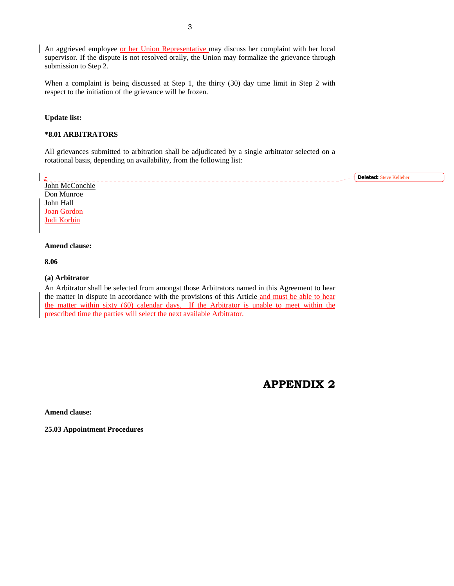An aggrieved employee or her Union Representative may discuss her complaint with her local supervisor. If the dispute is not resolved orally, the Union may formalize the grievance through submission to Step 2.

When a complaint is being discussed at Step 1, the thirty (30) day time limit in Step 2 with respect to the initiation of the grievance will be frozen.

#### **Update list:**

## **\*8.01 ARBITRATORS**

All grievances submitted to arbitration shall be adjudicated by a single arbitrator selected on a rotational basis, depending on availability, from the following list:

**Deleted:** Steve KelleherJohn McConchie Don Munroe John Hall Joan Gordon Judi Korbin

#### **Amend clause:**

**8.06** 

-

### **(a) Arbitrator**

An Arbitrator shall be selected from amongst those Arbitrators named in this Agreement to hear the matter in dispute in accordance with the provisions of this Article and must be able to hear the matter within sixty (60) calendar days. If the Arbitrator is unable to meet within the prescribed time the parties will select the next available Arbitrator.

**APPENDIX 2** 

**Amend clause:** 

**25.03 Appointment Procedures**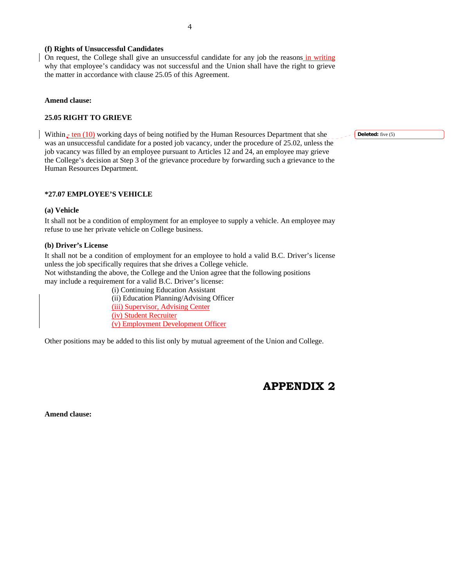### **(f) Rights of Unsuccessful Candidates**

On request, the College shall give an unsuccessful candidate for any job the reasons in writing why that employee's candidacy was not successful and the Union shall have the right to grieve the matter in accordance with clause 25.05 of this Agreement.

#### **Amend clause:**

### **25.05 RIGHT TO GRIEVE**

Within  $\frac{1}{2}$  ten (10) working days of being notified by the Human Resources Department that she was an unsuccessful candidate for a posted job vacancy, under the procedure of 25.02, unless the job vacancy was filled by an employee pursuant to Articles 12 and 24, an employee may grieve the College's decision at Step 3 of the grievance procedure by forwarding such a grievance to the Human Resources Department.

#### **\*27.07 EMPLOYEE'S VEHICLE**

#### **(a) Vehicle**

It shall not be a condition of employment for an employee to supply a vehicle. An employee may refuse to use her private vehicle on College business.

#### **(b) Driver's License**

It shall not be a condition of employment for an employee to hold a valid B.C. Driver's license unless the job specifically requires that she drives a College vehicle. Not withstanding the above, the College and the Union agree that the following positions may include a requirement for a valid B.C. Driver's license:

(i) Continuing Education Assistant (ii) Education Planning/Advising Officer (iii) Supervisor, Advising Center (iv) Student Recruiter (v) Employment Development Officer

Other positions may be added to this list only by mutual agreement of the Union and College.

# **APPENDIX 2**

**Amend clause:** 

**Deleted:** five (5)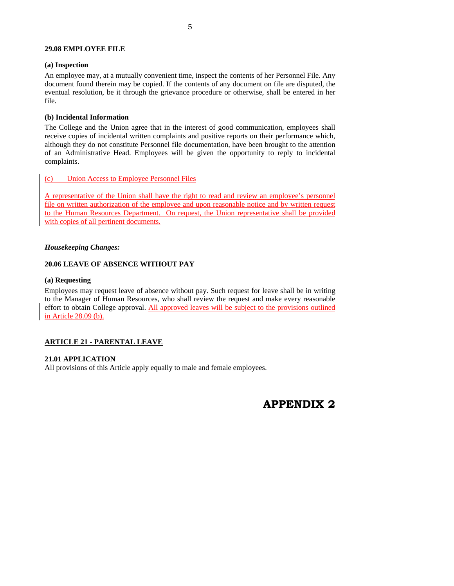#### **29.08 EMPLOYEE FILE**

#### **(a) Inspection**

An employee may, at a mutually convenient time, inspect the contents of her Personnel File. Any document found therein may be copied. If the contents of any document on file are disputed, the eventual resolution, be it through the grievance procedure or otherwise, shall be entered in her file.

### **(b) Incidental Information**

The College and the Union agree that in the interest of good communication, employees shall receive copies of incidental written complaints and positive reports on their performance which, although they do not constitute Personnel file documentation, have been brought to the attention of an Administrative Head. Employees will be given the opportunity to reply to incidental complaints.

## (c) Union Access to Employee Personnel Files

A representative of the Union shall have the right to read and review an employee's personnel file on written authorization of the employee and upon reasonable notice and by written request to the Human Resources Department. On request, the Union representative shall be provided with copies of all pertinent documents.

#### *Housekeeping Changes:*

### **20.06 LEAVE OF ABSENCE WITHOUT PAY**

#### **(a) Requesting**

Employees may request leave of absence without pay. Such request for leave shall be in writing to the Manager of Human Resources, who shall review the request and make every reasonable effort to obtain College approval. All approved leaves will be subject to the provisions outlined in Article 28.09 (b).

## **ARTICLE 21 - PARENTAL LEAVE**

#### **21.01 APPLICATION**

All provisions of this Article apply equally to male and female employees.

# **APPENDIX 2**